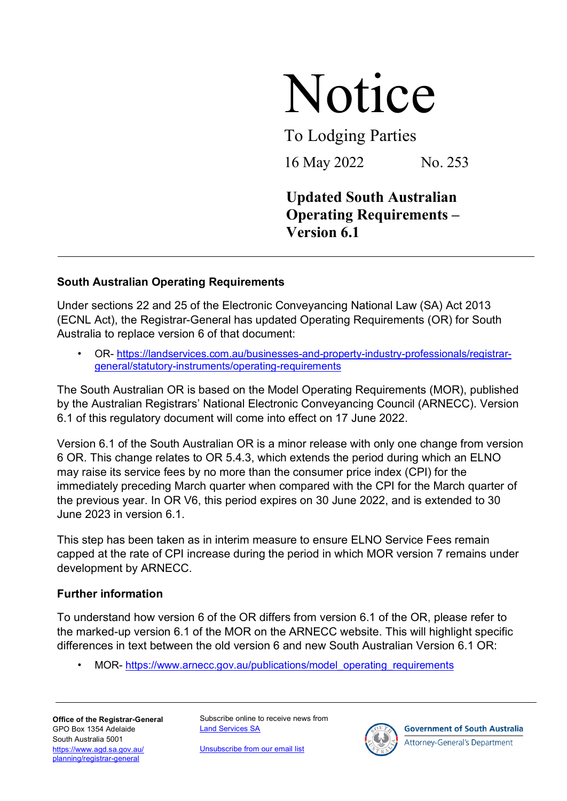## Notice

To Lodging Parties

16 May 2022 No. 253

## **Updated South Australian Operating Requirements – Version 6.1**

## **South Australian Operating Requirements**

Under sections 22 and 25 of the Electronic Conveyancing National Law (SA) Act 2013 (ECNL Act), the Registrar-General has updated Operating Requirements (OR) for South Australia to replace version 6 of that document:

• OR- [https://landservices.com.au/businesses-and-property-industry-professionals/registrar](https://landservices.com.au/businesses-and-property-industry-professionals/registrar-general/statutory-instruments/operating-requirements)[general/statutory-instruments/operating-requirements](https://landservices.com.au/businesses-and-property-industry-professionals/registrar-general/statutory-instruments/operating-requirements)

The South Australian OR is based on the Model Operating Requirements (MOR), published by the Australian Registrars' National Electronic Conveyancing Council (ARNECC). Version 6.1 of this regulatory document will come into effect on 17 June 2022.

Version 6.1 of the South Australian OR is a minor release with only one change from version 6 OR. This change relates to OR 5.4.3, which extends the period during which an ELNO may raise its service fees by no more than the consumer price index (CPI) for the immediately preceding March quarter when compared with the CPI for the March quarter of the previous year. In OR V6, this period expires on 30 June 2022, and is extended to 30 June 2023 in version 6.1.

This step has been taken as in interim measure to ensure ELNO Service Fees remain capped at the rate of CPI increase during the period in which MOR version 7 remains under development by ARNECC.

## **Further information**

To understand how version 6 of the OR differs from version 6.1 of the OR, please refer to the marked-up version 6.1 of the MOR on the ARNECC website. This will highlight specific differences in text between the old version 6 and new South Australian Version 6.1 OR:

MOR- [https://www.arnecc.gov.au/publications/model\\_operating\\_requirements](https://www.arnecc.gov.au/publications/model_operating_requirements)

**Office of the Registrar-General** GPO Box 1354 Adelaide South Australia 5001 [https://www.agd.sa.gov.au/](https://www.agd.sa.gov.au/planning/registrar-general) [planning/registrar-general](https://www.agd.sa.gov.au/planning/registrar-general)

Subscribe online to receive news from [Land Services SA](https://landservices.com.au/newsroom/subscribe-to-land-services-sa)

[Unsubscribe from our email list](mailto:communications@landservices.com.au?subject=Unsubscribe)



**Government of South Australia** 

**Attorney-General's Department**